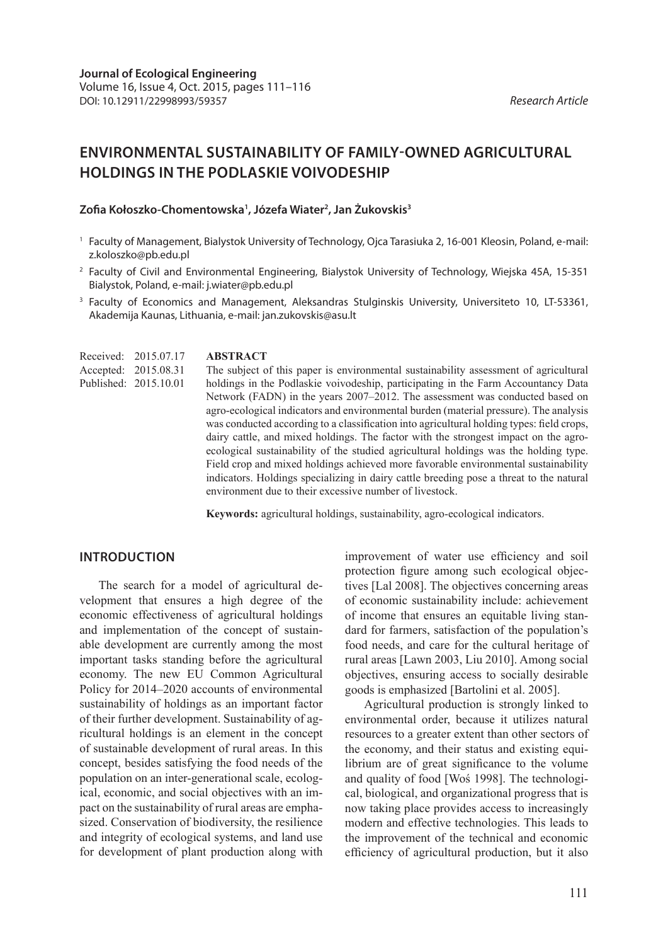# **ENVIRONMENTAL SUSTAINABILITY OF FAMILY-OWNED AGRICULTURAL HOLDINGS IN THE PODLASKIE VOIVODESHIP**

# **Zofia Kołoszko-Chomentowska1 , Józefa Wiater2 , Jan Żukovskis3**

- 1 Faculty of Management, Bialystok University of Technology, Ojca Tarasiuka 2, 16-001 Kleosin, Poland, e-mail: z.koloszko@pb.edu.pl
- <sup>2</sup> Faculty of Civil and Environmental Engineering, Bialystok University of Technology, Wiejska 45A, 15-351 Bialystok, Poland, e-mail: j.wiater@pb.edu.pl
- <sup>3</sup> Faculty of Economics and Management, Aleksandras Stulginskis University, Universiteto 10, LT-53361, Akademija Kaunas, Lithuania, e-mail: jan.zukovskis@asu.lt

**ABSTRACT** The subject of this paper is environmental sustainability assessment of agricultural holdings in the Podlaskie voivodeship, participating in the Farm Accountancy Data Network (FADN) in the years 2007–2012. The assessment was conducted based on agro-ecological indicators and environmental burden (material pressure). The analysis was conducted according to a classification into agricultural holding types: field crops, dairy cattle, and mixed holdings. The factor with the strongest impact on the agroecological sustainability of the studied agricultural holdings was the holding type. Field crop and mixed holdings achieved more favorable environmental sustainability indicators. Holdings specializing in dairy cattle breeding pose a threat to the natural environment due to their excessive number of livestock. Received: 2015.07.17 Accepted: 2015.08.31 Published: 2015.10.01

**Keywords:** agricultural holdings, sustainability, agro-ecological indicators.

# **INTRODUCTION**

The search for a model of agricultural development that ensures a high degree of the economic effectiveness of agricultural holdings and implementation of the concept of sustainable development are currently among the most important tasks standing before the agricultural economy. The new EU Common Agricultural Policy for 2014–2020 accounts of environmental sustainability of holdings as an important factor of their further development. Sustainability of agricultural holdings is an element in the concept of sustainable development of rural areas. In this concept, besides satisfying the food needs of the population on an inter-generational scale, ecological, economic, and social objectives with an impact on the sustainability of rural areas are emphasized. Conservation of biodiversity, the resilience and integrity of ecological systems, and land use for development of plant production along with

improvement of water use efficiency and soil protection figure among such ecological objectives [Lal 2008]. The objectives concerning areas of economic sustainability include: achievement of income that ensures an equitable living standard for farmers, satisfaction of the population's food needs, and care for the cultural heritage of rural areas [Lawn 2003, Liu 2010]. Among social objectives, ensuring access to socially desirable goods is emphasized [Bartolini et al. 2005].

Agricultural production is strongly linked to environmental order, because it utilizes natural resources to a greater extent than other sectors of the economy, and their status and existing equilibrium are of great significance to the volume and quality of food [Woś 1998]. The technological, biological, and organizational progress that is now taking place provides access to increasingly modern and effective technologies. This leads to the improvement of the technical and economic efficiency of agricultural production, but it also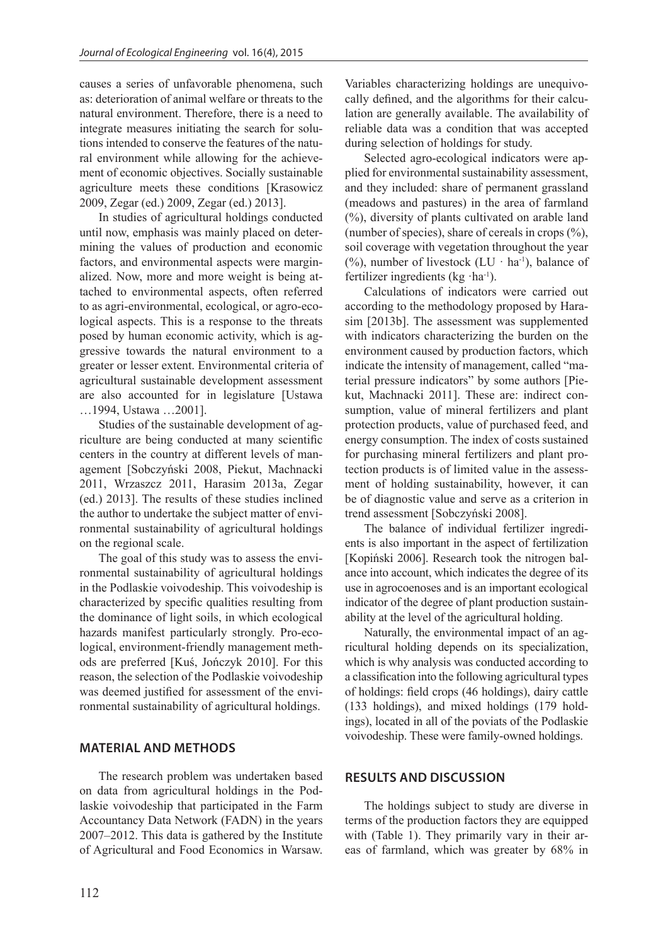causes a series of unfavorable phenomena, such as: deterioration of animal welfare or threats to the natural environment. Therefore, there is a need to integrate measures initiating the search for solutions intended to conserve the features of the natural environment while allowing for the achievement of economic objectives. Socially sustainable agriculture meets these conditions [Krasowicz 2009, Zegar (ed.) 2009, Zegar (ed.) 2013].

In studies of agricultural holdings conducted until now, emphasis was mainly placed on determining the values of production and economic factors, and environmental aspects were marginalized. Now, more and more weight is being attached to environmental aspects, often referred to as agri-environmental, ecological, or agro-ecological aspects. This is a response to the threats posed by human economic activity, which is aggressive towards the natural environment to a greater or lesser extent. Environmental criteria of agricultural sustainable development assessment are also accounted for in legislature [Ustawa …1994, Ustawa …2001].

Studies of the sustainable development of agriculture are being conducted at many scientific centers in the country at different levels of management [Sobczyński 2008, Piekut, Machnacki 2011, Wrzaszcz 2011, Harasim 2013a, Zegar (ed.) 2013]. The results of these studies inclined the author to undertake the subject matter of environmental sustainability of agricultural holdings on the regional scale.

The goal of this study was to assess the environmental sustainability of agricultural holdings in the Podlaskie voivodeship. This voivodeship is characterized by specific qualities resulting from the dominance of light soils, in which ecological hazards manifest particularly strongly. Pro-ecological, environment-friendly management methods are preferred [Kuś, Jończyk 2010]. For this reason, the selection of the Podlaskie voivodeship was deemed justified for assessment of the environmental sustainability of agricultural holdings.

## **MATERIAL AND METHODS**

The research problem was undertaken based on data from agricultural holdings in the Podlaskie voivodeship that participated in the Farm Accountancy Data Network (FADN) in the years 2007–2012. This data is gathered by the Institute of Agricultural and Food Economics in Warsaw.

Variables characterizing holdings are unequivocally defined, and the algorithms for their calculation are generally available. The availability of reliable data was a condition that was accepted during selection of holdings for study.

Selected agro-ecological indicators were applied for environmental sustainability assessment, and they included: share of permanent grassland (meadows and pastures) in the area of farmland (%), diversity of plants cultivated on arable land (number of species), share of cereals in crops  $(\%)$ , soil coverage with vegetation throughout the year (%), number of livestock (LU  $\cdot$  ha<sup>-1</sup>), balance of fertilizer ingredients ( $kg \cdot ha^{-1}$ ).

Calculations of indicators were carried out according to the methodology proposed by Harasim [2013b]. The assessment was supplemented with indicators characterizing the burden on the environment caused by production factors, which indicate the intensity of management, called "material pressure indicators" by some authors [Piekut, Machnacki 2011]. These are: indirect consumption, value of mineral fertilizers and plant protection products, value of purchased feed, and energy consumption. The index of costs sustained for purchasing mineral fertilizers and plant protection products is of limited value in the assessment of holding sustainability, however, it can be of diagnostic value and serve as a criterion in trend assessment [Sobczyński 2008].

The balance of individual fertilizer ingredients is also important in the aspect of fertilization [Kopiński 2006]. Research took the nitrogen balance into account, which indicates the degree of its use in agrocoenoses and is an important ecological indicator of the degree of plant production sustainability at the level of the agricultural holding.

Naturally, the environmental impact of an agricultural holding depends on its specialization, which is why analysis was conducted according to a classification into the following agricultural types of holdings: field crops (46 holdings), dairy cattle (133 holdings), and mixed holdings (179 holdings), located in all of the poviats of the Podlaskie voivodeship. These were family-owned holdings.

#### **RESULTS AND DISCUSSION**

The holdings subject to study are diverse in terms of the production factors they are equipped with (Table 1). They primarily vary in their areas of farmland, which was greater by 68% in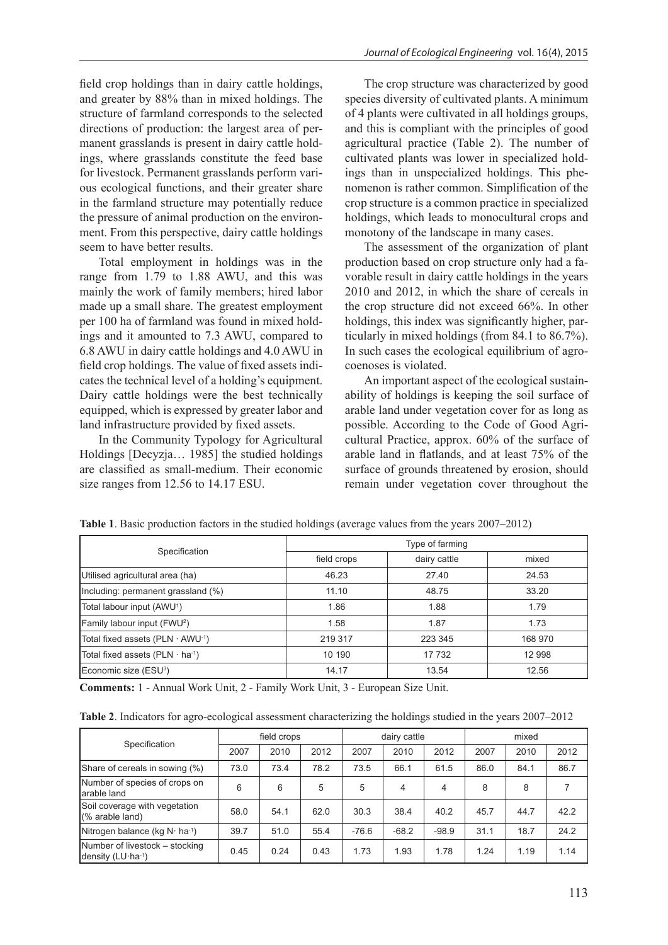field crop holdings than in dairy cattle holdings, and greater by 88% than in mixed holdings. The structure of farmland corresponds to the selected directions of production: the largest area of permanent grasslands is present in dairy cattle holdings, where grasslands constitute the feed base for livestock. Permanent grasslands perform various ecological functions, and their greater share in the farmland structure may potentially reduce the pressure of animal production on the environment. From this perspective, dairy cattle holdings seem to have better results.

Total employment in holdings was in the range from 1.79 to 1.88 AWU, and this was mainly the work of family members; hired labor made up a small share. The greatest employment per 100 ha of farmland was found in mixed holdings and it amounted to 7.3 AWU, compared to 6.8 AWU in dairy cattle holdings and 4.0 AWU in field crop holdings. The value of fixed assets indicates the technical level of a holding's equipment. Dairy cattle holdings were the best technically equipped, which is expressed by greater labor and land infrastructure provided by fixed assets.

In the Community Typology for Agricultural Holdings [Decyzja… 1985] the studied holdings are classified as small-medium. Their economic size ranges from 12.56 to 14.17 ESU.

The crop structure was characterized by good species diversity of cultivated plants. A minimum of 4 plants were cultivated in all holdings groups, and this is compliant with the principles of good agricultural practice (Table 2). The number of cultivated plants was lower in specialized holdings than in unspecialized holdings. This phenomenon is rather common. Simplification of the crop structure is a common practice in specialized holdings, which leads to monocultural crops and monotony of the landscape in many cases.

The assessment of the organization of plant production based on crop structure only had a favorable result in dairy cattle holdings in the years 2010 and 2012, in which the share of cereals in the crop structure did not exceed 66%. In other holdings, this index was significantly higher, particularly in mixed holdings (from 84.1 to 86.7%). In such cases the ecological equilibrium of agrocoenoses is violated.

An important aspect of the ecological sustainability of holdings is keeping the soil surface of arable land under vegetation cover for as long as possible. According to the Code of Good Agricultural Practice, approx. 60% of the surface of arable land in flatlands, and at least 75% of the surface of grounds threatened by erosion, should remain under vegetation cover throughout the

|                                               | Type of farming |              |         |  |  |  |
|-----------------------------------------------|-----------------|--------------|---------|--|--|--|
| Specification                                 | field crops     | dairy cattle | mixed   |  |  |  |
| Utilised agricultural area (ha)               | 46.23           | 27.40        | 24.53   |  |  |  |
| Including: permanent grassland (%)            | 11.10           | 48.75        | 33.20   |  |  |  |
| Total labour input (AWU <sup>1</sup> )        | 1.86            | 1.88         | 1.79    |  |  |  |
| Family labour input (FWU <sup>2</sup> )       | 1.58            | 1.87         | 1.73    |  |  |  |
| Total fixed assets (PLN $\cdot$ AWU $^{-1}$ ) | 219 317         | 223 345      | 168 970 |  |  |  |
| Total fixed assets (PLN $\cdot$ ha $\cdot$ 1) | 10 190          | 17 732       | 12 998  |  |  |  |
| Economic size (ESU <sup>3</sup> )             | 14.17           | 13.54        | 12.56   |  |  |  |

**Table 1**. Basic production factors in the studied holdings (average values from the years 2007–2012)

**Comments:** 1 - Annual Work Unit, 2 - Family Work Unit, 3 - European Size Unit.

**Table 2**. Indicators for agro-ecological assessment characterizing the holdings studied in the years 2007–2012

| Specification                                                  | field crops |      |      | dairy cattle |         |         | mixed |      |      |
|----------------------------------------------------------------|-------------|------|------|--------------|---------|---------|-------|------|------|
|                                                                | 2007        | 2010 | 2012 | 2007         | 2010    | 2012    | 2007  | 2010 | 2012 |
| Share of cereals in sowing (%)                                 | 73.0        | 73.4 | 78.2 | 73.5         | 66.1    | 61.5    | 86.0  | 84.1 | 86.7 |
| Number of species of crops on<br>larable land                  | 6           | 6    | 5    | 5            | 4       | 4       | 8     | 8    |      |
| Soil coverage with vegetation<br>$(\%$ arable land)            | 58.0        | 54.1 | 62.0 | 30.3         | 38.4    | 40.2    | 45.7  | 44.7 | 42.2 |
| Nitrogen balance (kg $N \cdot ha^{-1}$ )                       | 39.7        | 51.0 | 55.4 | $-76.6$      | $-68.2$ | $-98.9$ | 31.1  | 18.7 | 24.2 |
| Number of livestock – stocking<br>density $(LU \cdot ha^{-1})$ | 0.45        | 0.24 | 0.43 | 1.73         | 1.93    | 1.78    | 1.24  | 1.19 | 1.14 |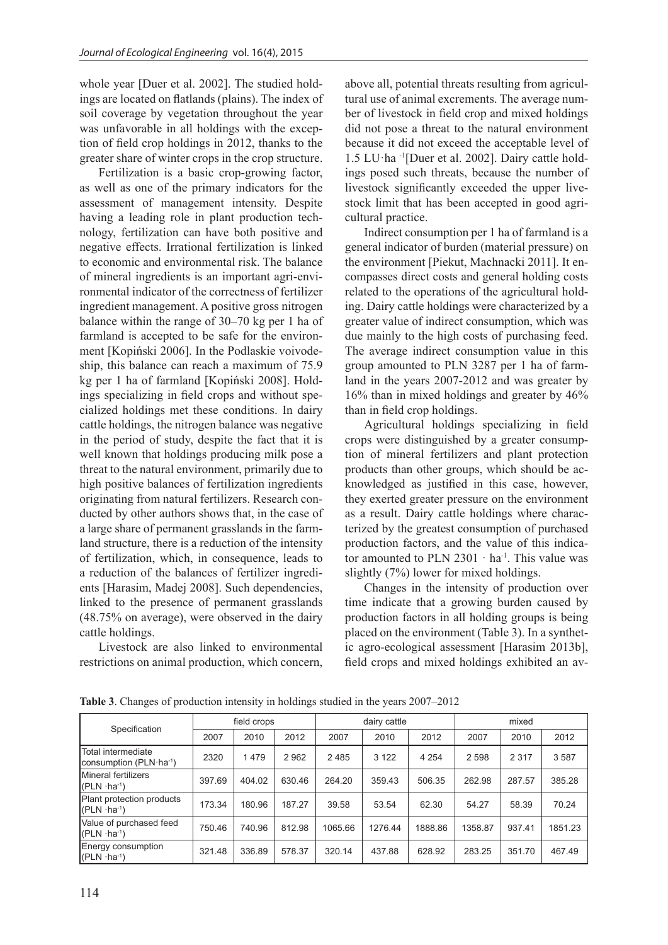whole year [Duer et al. 2002]. The studied holdings are located on flatlands (plains). The index of soil coverage by vegetation throughout the year was unfavorable in all holdings with the exception of field crop holdings in 2012, thanks to the greater share of winter crops in the crop structure.

Fertilization is a basic crop-growing factor, as well as one of the primary indicators for the assessment of management intensity. Despite having a leading role in plant production technology, fertilization can have both positive and negative effects. Irrational fertilization is linked to economic and environmental risk. The balance of mineral ingredients is an important agri-environmental indicator of the correctness of fertilizer ingredient management. A positive gross nitrogen balance within the range of 30–70 kg per 1 ha of farmland is accepted to be safe for the environment [Kopiński 2006]. In the Podlaskie voivodeship, this balance can reach a maximum of 75.9 kg per 1 ha of farmland [Kopiński 2008]. Holdings specializing in field crops and without specialized holdings met these conditions. In dairy cattle holdings, the nitrogen balance was negative in the period of study, despite the fact that it is well known that holdings producing milk pose a threat to the natural environment, primarily due to high positive balances of fertilization ingredients originating from natural fertilizers. Research conducted by other authors shows that, in the case of a large share of permanent grasslands in the farmland structure, there is a reduction of the intensity of fertilization, which, in consequence, leads to a reduction of the balances of fertilizer ingredients [Harasim, Madej 2008]. Such dependencies, linked to the presence of permanent grasslands (48.75% on average), were observed in the dairy cattle holdings.

Livestock are also linked to environmental restrictions on animal production, which concern,

above all, potential threats resulting from agricultural use of animal excrements. The average number of livestock in field crop and mixed holdings did not pose a threat to the natural environment because it did not exceed the acceptable level of 1.5 LU·ha -1[Duer et al. 2002]. Dairy cattle holdings posed such threats, because the number of livestock significantly exceeded the upper livestock limit that has been accepted in good agricultural practice.

Indirect consumption per 1 ha of farmland is a general indicator of burden (material pressure) on the environment [Piekut, Machnacki 2011]. It encompasses direct costs and general holding costs related to the operations of the agricultural holding. Dairy cattle holdings were characterized by a greater value of indirect consumption, which was due mainly to the high costs of purchasing feed. The average indirect consumption value in this group amounted to PLN 3287 per 1 ha of farmland in the years 2007-2012 and was greater by 16% than in mixed holdings and greater by 46% than in field crop holdings.

Agricultural holdings specializing in field crops were distinguished by a greater consumption of mineral fertilizers and plant protection products than other groups, which should be acknowledged as justified in this case, however, they exerted greater pressure on the environment as a result. Dairy cattle holdings where characterized by the greatest consumption of purchased production factors, and the value of this indicator amounted to PLN  $2301 \cdot ha^{-1}$ . This value was slightly (7%) lower for mixed holdings.

Changes in the intensity of production over time indicate that a growing burden caused by production factors in all holding groups is being placed on the environment (Table 3). In a synthetic agro-ecological assessment [Harasim 2013b], field crops and mixed holdings exhibited an av-

| Specification                                             | field crops |        |         | dairy cattle |         |         | mixed   |         |         |
|-----------------------------------------------------------|-------------|--------|---------|--------------|---------|---------|---------|---------|---------|
|                                                           | 2007        | 2010   | 2012    | 2007         | 2010    | 2012    | 2007    | 2010    | 2012    |
| Total intermediate<br>consumption (PLN·ha <sup>-1</sup> ) | 2320        | 1479   | 2 9 6 2 | 2485         | 3 1 2 2 | 4 2 5 4 | 2 5 9 8 | 2 3 1 7 | 3587    |
| Mineral fertilizers<br>$(PLN \cdot ha^{-1})$              | 397.69      | 404.02 | 630.46  | 264.20       | 359.43  | 506.35  | 262.98  | 287.57  | 385.28  |
| Plant protection products<br>$(PLN \cdot ha^{-1})$        | 173.34      | 180.96 | 187.27  | 39.58        | 53.54   | 62.30   | 54.27   | 58.39   | 70.24   |
| Value of purchased feed<br>$(PLN \cdot ha^{-1})$          | 750.46      | 740.96 | 812.98  | 1065.66      | 1276.44 | 1888.86 | 1358.87 | 937.41  | 1851.23 |
| Energy consumption<br>$(PLN \cdot ha^{-1})$               | 321.48      | 336.89 | 578.37  | 320.14       | 437.88  | 628.92  | 283.25  | 351.70  | 467.49  |

**Table 3**. Changes of production intensity in holdings studied in the years 2007–2012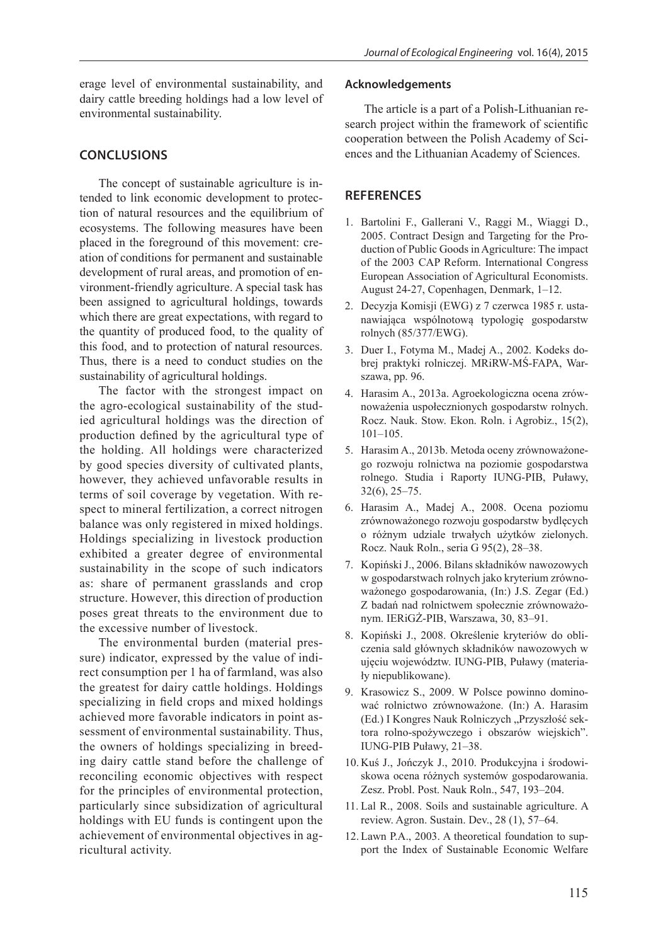erage level of environmental sustainability, and dairy cattle breeding holdings had a low level of environmental sustainability.

# **CONCLUSIONS**

The concept of sustainable agriculture is intended to link economic development to protection of natural resources and the equilibrium of ecosystems. The following measures have been placed in the foreground of this movement: creation of conditions for permanent and sustainable development of rural areas, and promotion of environment-friendly agriculture. A special task has been assigned to agricultural holdings, towards which there are great expectations, with regard to the quantity of produced food, to the quality of this food, and to protection of natural resources. Thus, there is a need to conduct studies on the sustainability of agricultural holdings.

The factor with the strongest impact on the agro-ecological sustainability of the studied agricultural holdings was the direction of production defined by the agricultural type of the holding. All holdings were characterized by good species diversity of cultivated plants, however, they achieved unfavorable results in terms of soil coverage by vegetation. With respect to mineral fertilization, a correct nitrogen balance was only registered in mixed holdings. Holdings specializing in livestock production exhibited a greater degree of environmental sustainability in the scope of such indicators as: share of permanent grasslands and crop structure. However, this direction of production poses great threats to the environment due to the excessive number of livestock.

The environmental burden (material pressure) indicator, expressed by the value of indirect consumption per 1 ha of farmland, was also the greatest for dairy cattle holdings. Holdings specializing in field crops and mixed holdings achieved more favorable indicators in point assessment of environmental sustainability. Thus, the owners of holdings specializing in breeding dairy cattle stand before the challenge of reconciling economic objectives with respect for the principles of environmental protection, particularly since subsidization of agricultural holdings with EU funds is contingent upon the achievement of environmental objectives in agricultural activity.

#### **Acknowledgements**

The article is a part of a Polish-Lithuanian research project within the framework of scientific cooperation between the Polish Academy of Sciences and the Lithuanian Academy of Sciences.

# **REFERENCES**

- 1. Bartolini F., Gallerani V., Raggi M., Wiaggi D., 2005. Contract Design and Targeting for the Production of Public Goods in Agriculture: The impact of the 2003 CAP Reform. International Congress European Association of Agricultural Economists. August 24-27, Copenhagen, Denmark, 1–12.
- 2. Decyzja Komisji (EWG) z 7 czerwca 1985 r. ustanawiająca wspólnotową typologię gospodarstw rolnych (85/377/EWG).
- 3. Duer I., Fotyma M., Madej A., 2002. Kodeks dobrej praktyki rolniczej. MRiRW-MŚ-FAPA, Warszawa, pp. 96.
- 4. Harasim A., 2013a. Agroekologiczna ocena zrównoważenia uspołecznionych gospodarstw rolnych. Rocz. Nauk. Stow. Ekon. Roln. i Agrobiz., 15(2), 101–105.
- 5. Harasim A., 2013b. Metoda oceny zrównoważonego rozwoju rolnictwa na poziomie gospodarstwa rolnego. Studia i Raporty IUNG-PIB, Puławy, 32(6), 25–75.
- 6. Harasim A., Madej A., 2008. Ocena poziomu zrównoważonego rozwoju gospodarstw bydlęcych o różnym udziale trwałych użytków zielonych. Rocz. Nauk Roln., seria G 95(2), 28–38.
- 7. Kopiński J., 2006. Bilans składników nawozowych w gospodarstwach rolnych jako kryterium zrównoważonego gospodarowania, (In:) J.S. Zegar (Ed.) Z badań nad rolnictwem społecznie zrównoważonym. IERiGŻ-PIB, Warszawa, 30, 83–91.
- 8. Kopiński J., 2008. Określenie kryteriów do obliczenia sald głównych składników nawozowych w ujęciu województw. IUNG-PIB, Puławy (materiały niepublikowane).
- 9. Krasowicz S., 2009. W Polsce powinno dominować rolnictwo zrównoważone. (In:) A. Harasim (Ed.) I Kongres Nauk Rolniczych "Przyszłość sektora rolno-spożywczego i obszarów wiejskich". IUNG-PIB Puławy, 21–38.
- 10. Kuś J., Jończyk J., 2010. Produkcyjna i środowiskowa ocena różnych systemów gospodarowania. Zesz. Probl. Post. Nauk Roln., 547, 193–204.
- 11. Lal R., 2008. Soils and sustainable agriculture. A review. Agron. Sustain. Dev., 28 (1), 57–64.
- 12. Lawn P.A., 2003. A theoretical foundation to support the Index of Sustainable Economic Welfare